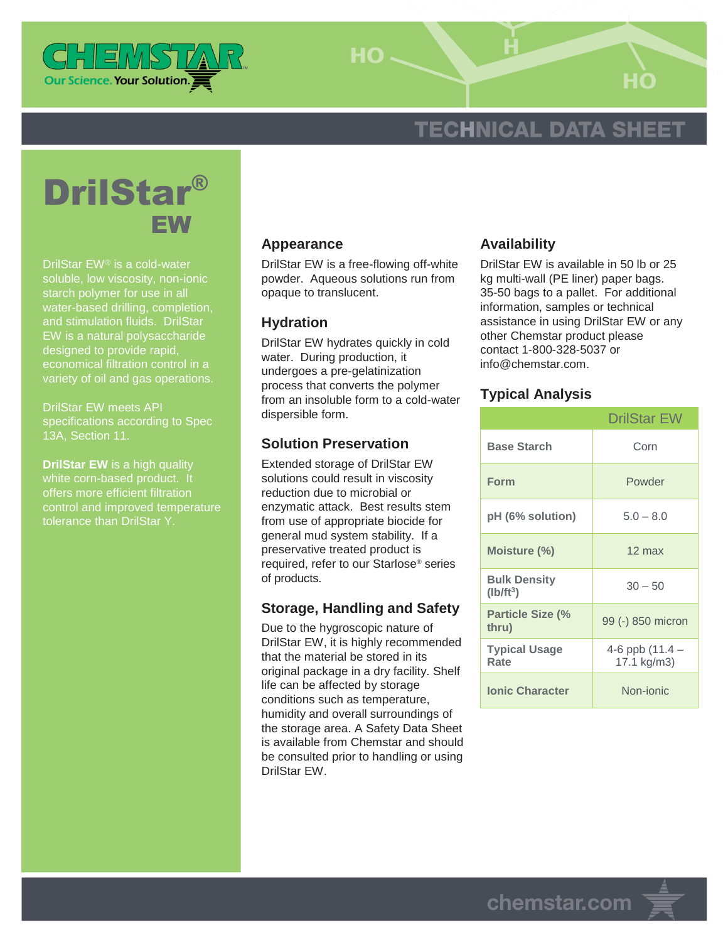

HO-

# **TECHNICAL DATA SHEET**



DrilStar EW® is a cold-water soluble, low viscosity, non-ionic starch polymer for use in all water-based drilling, completion, and stimulation fluids. DrilStar EW is a natural polysaccharide designed to provide rapid, economical filtration control in a variety of oil and gas operations.

DrilStar EW meets API specifications according to Spec 13A, Section 11.

**DrilStar EW** is a high quality white corn-based product. It offers more efficient filtration control and improved temperature tolerance than DrilStar Y.

#### **Appearance**

DrilStar EW is a free-flowing off-white powder. Aqueous solutions run from opaque to translucent.

#### **Hydration**

DrilStar EW hydrates quickly in cold water. During production, it undergoes a pre-gelatinization process that converts the polymer from an insoluble form to a cold-water dispersible form.

## **Solution Preservation**

Extended storage of DrilStar EW solutions could result in viscosity reduction due to microbial or enzymatic attack. Best results stem from use of appropriate biocide for general mud system stability. If a preservative treated product is required, refer to our Starlose® series of products.

## **Storage, Handling and Safety**

Due to the hygroscopic nature of DrilStar EW, it is highly recommended that the material be stored in its original package in a dry facility. Shelf life can be affected by storage conditions such as temperature, humidity and overall surroundings of the storage area. A Safety Data Sheet is available from Chemstar and should be consulted prior to handling or using DrilStar EW.

## **Availability**

DrilStar EW is available in 50 lb or 25 kg multi-wall (PE liner) paper bags. 35-50 bags to a pallet. For additional information, samples or technical assistance in using DrilStar EW or any other Chemstar product please contact 1-800-328-5037 or info@chemstar.com.

#### **Typical Analysis**

|                                    | <b>DrilStar EW</b>             |
|------------------------------------|--------------------------------|
| <b>Base Starch</b>                 | Corn                           |
| Form                               | Powder                         |
| pH (6% solution)                   | $5.0 - 8.0$                    |
| Moisture (%)                       | $12 \text{ max}$               |
| <b>Bulk Density</b><br>$(lb/ft^3)$ | $30 - 50$                      |
| <b>Particle Size (%</b><br>thru)   | 99 (-) 850 micron              |
| <b>Typical Usage</b><br>Rate       | 4-6 ppb (11.4 –<br>17.1 kg/m3) |
| <b>Ionic Character</b>             | Non-ionic                      |